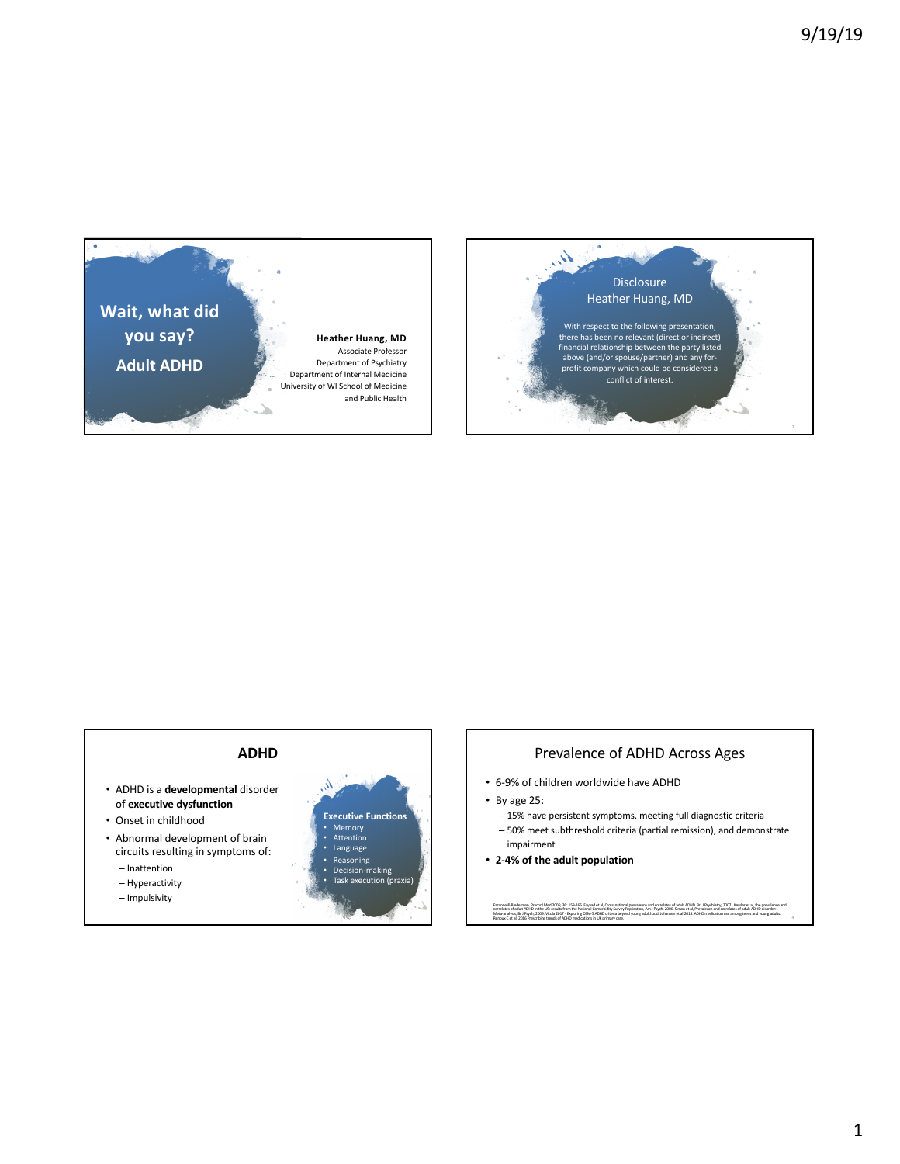



#### **ADHD** Λ • ADHD is a **developmental** disorder of **executive dysfunction Executive Functions** • Onset in childhood • Memory • Attention • Abnormal development of brain • Language circuits resulting in symptoms of: • Reasoning – Inattention • Decision-making س<br>ecution (praxia – Hyperactivity – Impulsivity

- Prevalence of ADHD Across Ages • 6-9% of children worldwide have ADHD
- By age 25:
- 15% have persistent symptoms, meeting full diagnostic criteria
- 50% meet subthreshold criteria (partial remission), and demonstrate impairment
- **2-4% of the adult population**

Faraone & Blederman. Psychol Med 2006; 36: 159-165. Fayyad et al., Cross-national prevalence and correlates of sluth EHD. Br. J Psychiatry, 2007. Kessler et al., the prevalence and<br>correlates of adult ADFO in the US: resul Faraone & Blederman. Psychol Med 2006; 36: 159-165. Fayy:<br>Correlates of adult ADHD in the US: results from the National<br>Meta-analysis, Br. J Psych, 2009. Vitola 2017 - Exploring DSM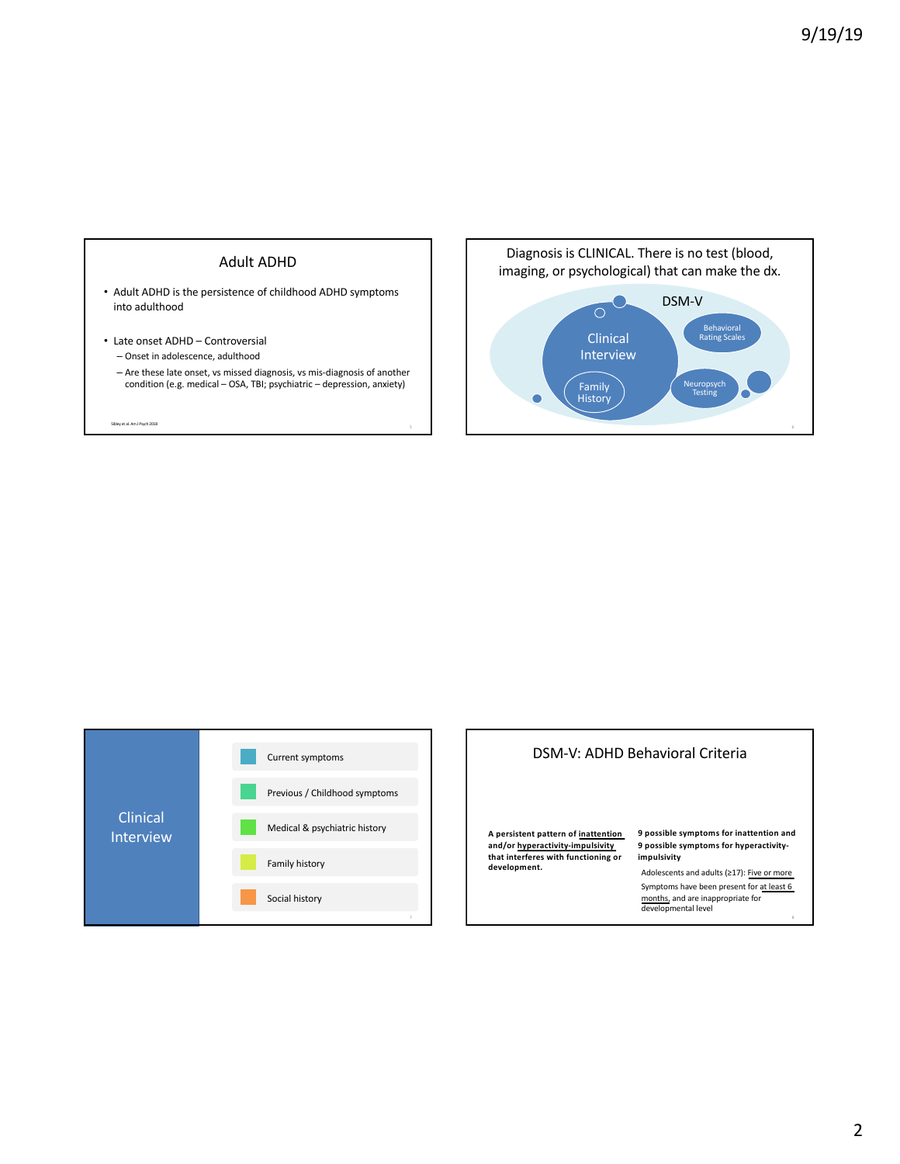





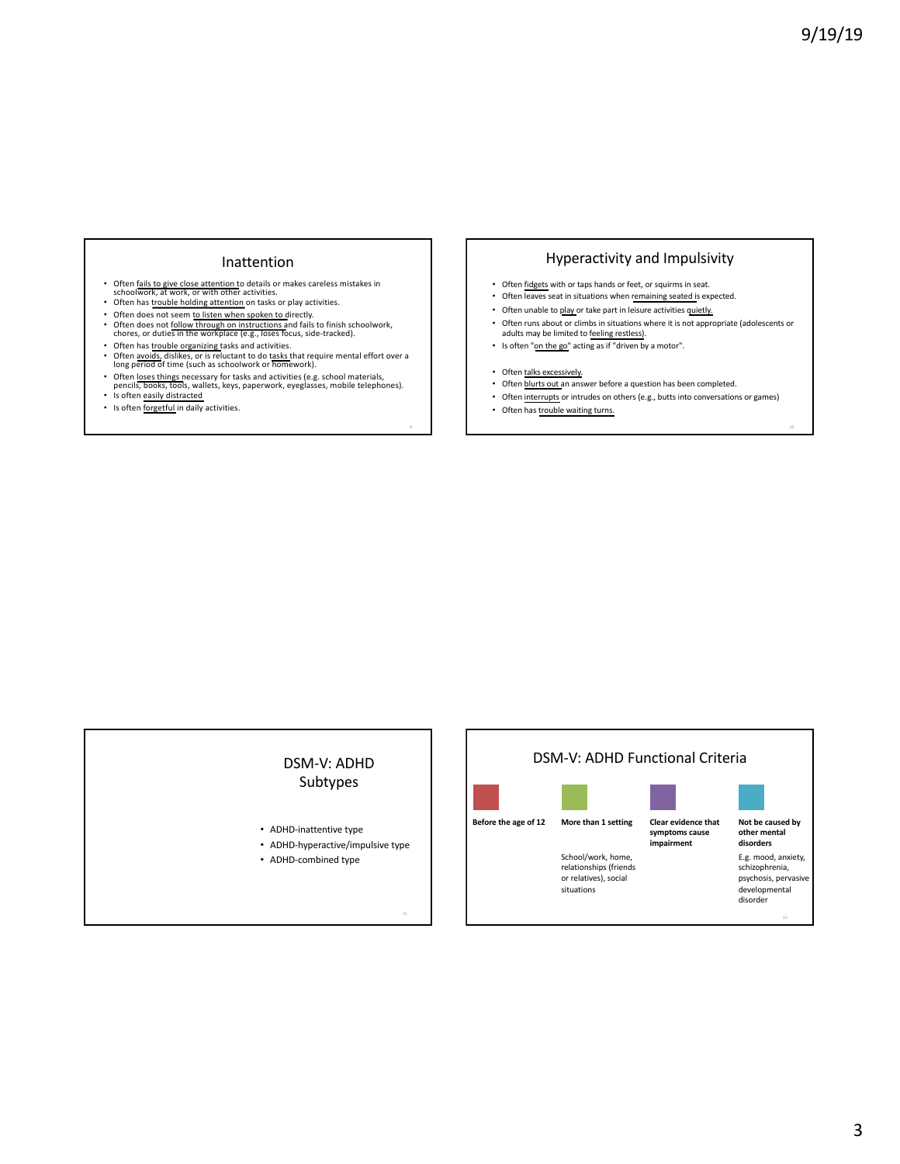### Inattention

- Often <u>fails to give close attention</u> to details or makes careless mistakes in<br>schoolwork, at work, or with other activities.<br>Often has trouble holding attention on tasks or play activities.
- Often has trouble holding attention on tasks or play activities.
- 
- Often does not seem <u>to listen when spoken to d</u>irectly.<br>• Often does not follow through on instructions and fails to finish schoolwork,<br>chores, or duties in the workplace (e.g., loses focus, side-tracked).
- Often has *trouble organizing tasks and activities*.
- Often avoids, dislikes, or is reluctant to do tasks that require mental effort over a long period of time (such as schoolwork or homework). • Often loses things necessary for tasks and activities (e.g. school materials, pencils, books, tools, wallets, keys, paperwork, eyeglasses, mobile telephones).
- Is often easily distracted
- Is often forgetful in daily activities.

## Hyperactivity and Impulsivity

- Often fidgets with or taps hands or feet, or squirms in seat.
- Often leaves seat in situations when remaining seated is expected.
- Often unable to play or take part in leisure activities quietly.
- Often runs about or climbs in situations where it is not appropriate (adolescents or adults may be limited to feeling restless).
- Is often "on the go" acting as if "driven by a motor".
- Often talks excessively.
- Often blurts out an answer before a question has been completed.
- Often interrupts or intrudes on others (e.g., butts into conversations or games)
- Often has trouble waiting turns.

## DSM-V: ADHD Subtypes

- ADHD-inattentive type
- ADHD-hyperactive/impulsive type
- ADHD-combined type

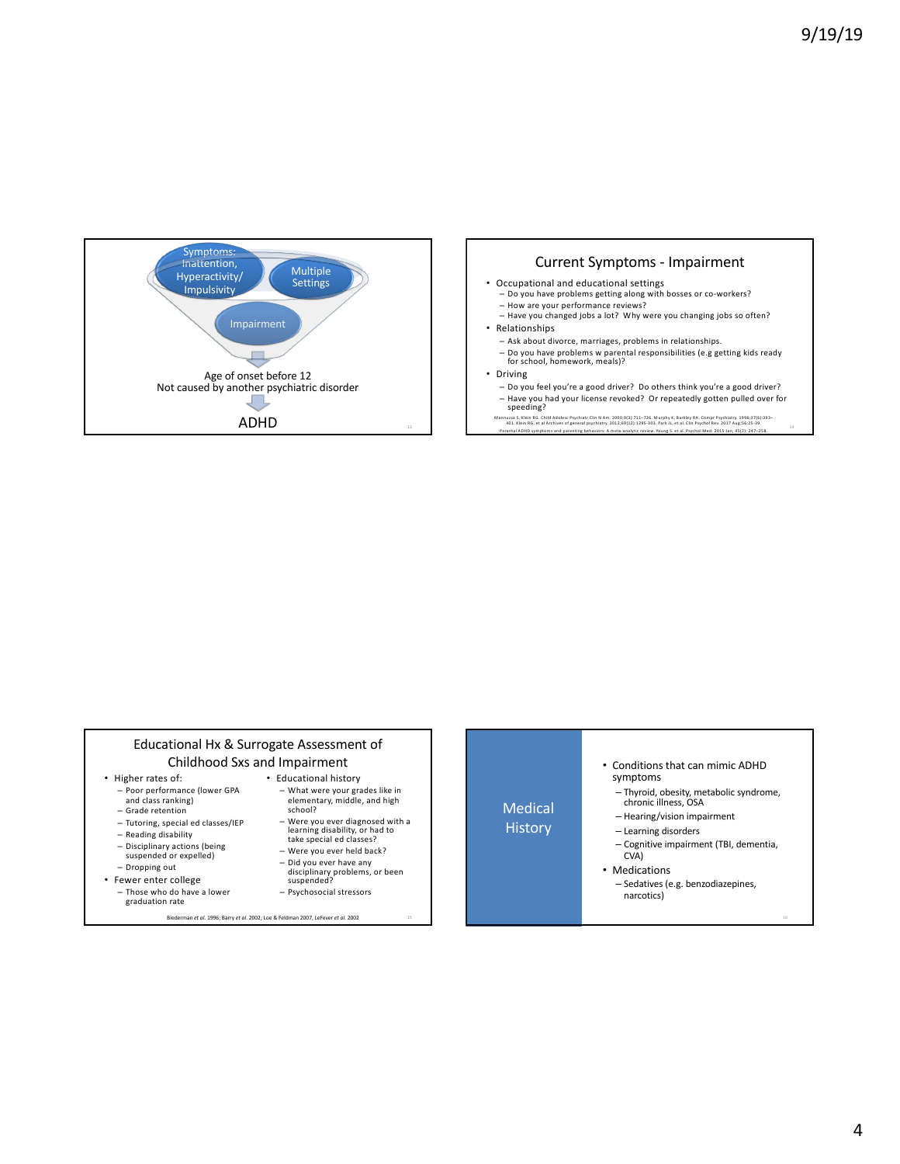



- Relationships
	-
	- Ask about divorce, marriages, problems in relationships. – Do you have problems w parental responsibilities (e.g getting kids ready for school, homework, meals)?
	-
- Driving
- Do you feel you're a good driver? Do others think you're a good driver? – Have you had your license revoked? Or repeatedly gotten pulled over for speeding?

Mannuzza S, Klein RG. Child Adolesc Psychiatr Clin N Am. 2000;9[3]:711–726. Murphy K, Barkley RA. Compr Psychiatry. 1996;37(6):393–<br>401. Klein RG, et al Archives of general psychiatry. 2012;19:1295-303. Park JL, et al. Cli



#### 4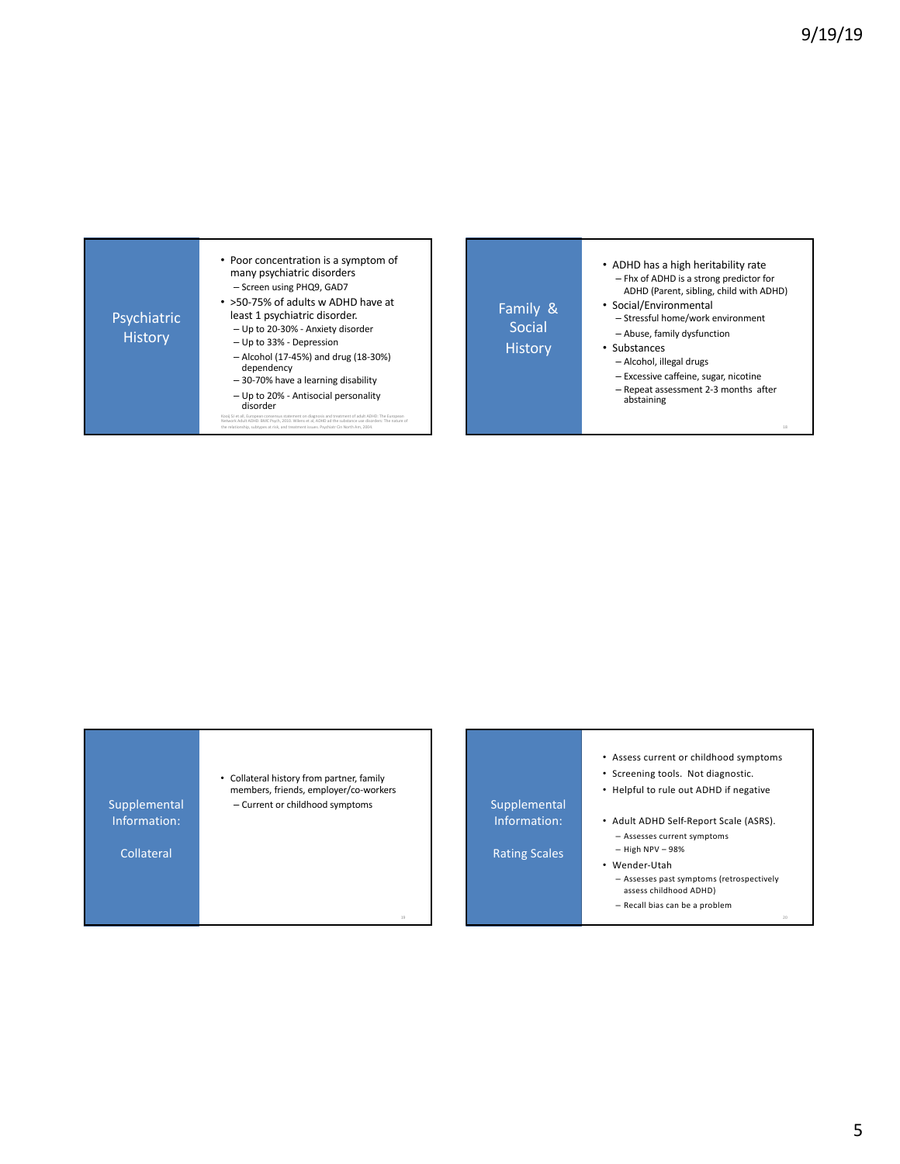



- **Supplemental** Information: Rating Scales • Screening tools. Not diagnostic. • Helpful to rule out ADHD if negative • Adult ADHD Self-Report Scale (ASRS). – Assesses current symptoms – High NPV – 98% • Wender-Utah – Assesses past symptoms (retrospectively
	-
	- assess childhood ADHD)

• Assess current or childhood symptoms

– Recall bias can be a problem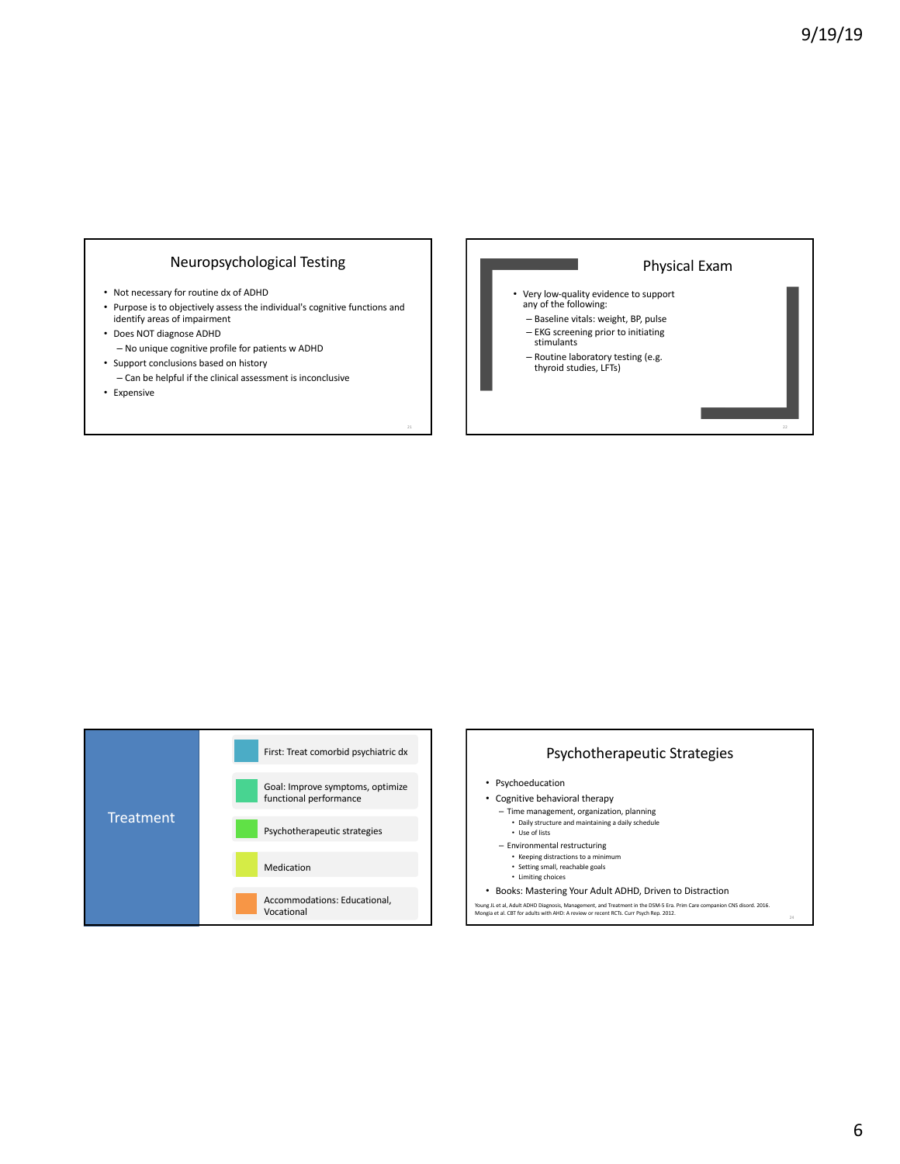# Neuropsychological Testing

- Not necessary for routine dx of ADHD
- Purpose is to objectively assess the individual's cognitive functions and identify areas of impairment
- Does NOT diagnose ADHD – No unique cognitive profile for patients w ADHD
- Support conclusions based on history – Can be helpful if the clinical assessment is inconclusive
- Expensive





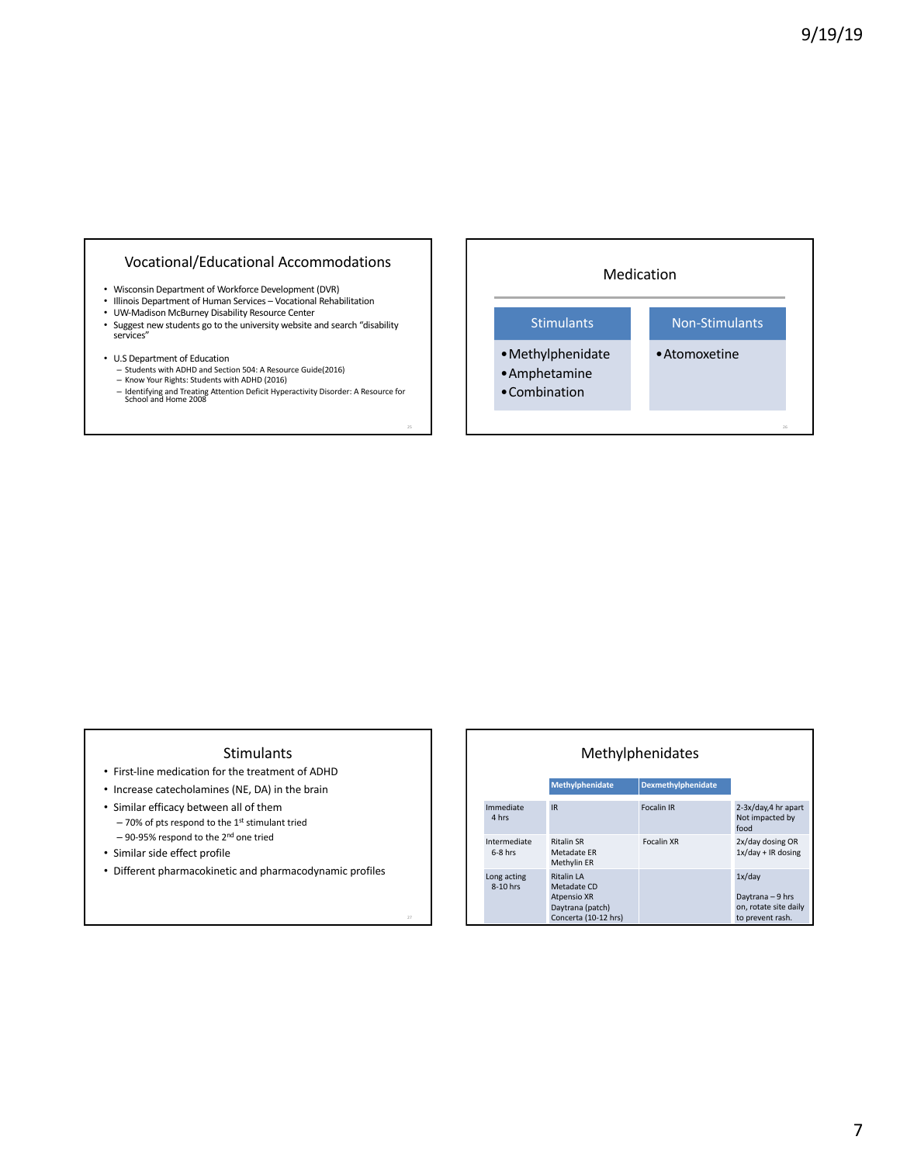# Vocational/Educational Accommodations

- Wisconsin Department of Workforce Development (DVR)
- Illinois Department of Human Services Vocational Rehabilitation
- UW-Madison McBurney Disability Resource Center
- Suggest new students go to the university website and search "disability services"
- 
- U.S Department of Education Students with ADHD and Section 504: A Resource Guide(2016) – Know Your Rights: Students with ADHD (2016)
	- Identifying and Treating Attention Deficit Hyperactivity Disorder: A Resource for School and Home 2008



#### Stimulants

- First-line medication for the treatment of ADHD
- Increase catecholamines (NE, DA) in the brain
- Similar efficacy between all of them  $-70%$  of pts respond to the 1st stimulant tried – 90-95% respond to the 2nd one tried
- Similar side effect profile
- Different pharmacokinetic and pharmacodynamic profiles

|                           |                                                                                                    | Methylphenidates   |                                                                         |
|---------------------------|----------------------------------------------------------------------------------------------------|--------------------|-------------------------------------------------------------------------|
|                           | Methylphenidate                                                                                    | Dexmethylphenidate |                                                                         |
| Immediate<br>4 hrs        | <b>IR</b>                                                                                          | <b>Focalin IR</b>  | 2-3x/day, 4 hr apart<br>Not impacted by<br>food                         |
| Intermediate<br>$6-8$ hrs | <b>Ritalin SR</b><br>Metadate ER<br>Methylin ER                                                    | <b>Focalin XR</b>  | 2x/day dosing OR<br>$1x/day + IR$ dosing                                |
| Long acting<br>8-10 hrs   | <b>Ritalin LA</b><br>Metadate CD<br><b>Atpensio XR</b><br>Daytrana (patch)<br>Concerta (10-12 hrs) |                    | 1x/day<br>Daytrana - 9 hrs<br>on, rotate site daily<br>to prevent rash. |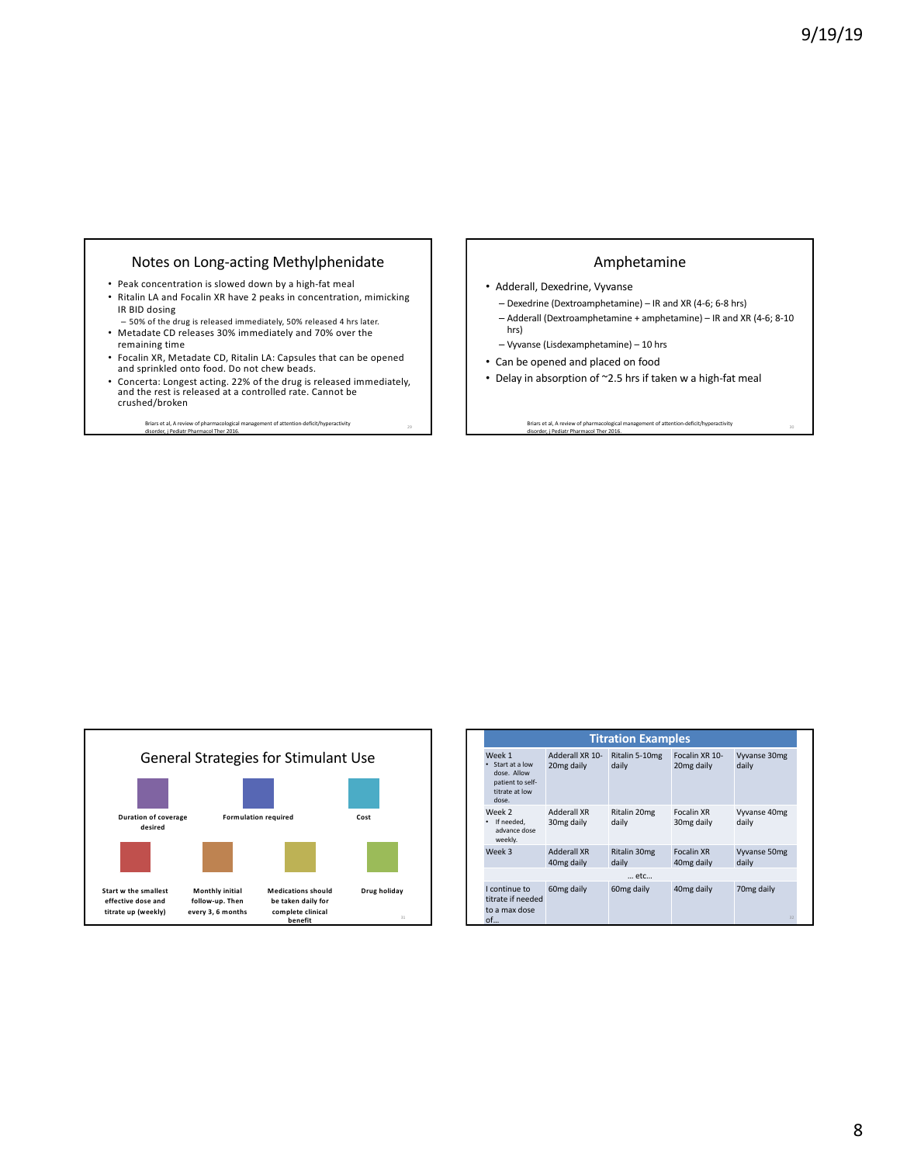## Notes on Long-acting Methylphenidate

- Peak concentration is slowed down by a high-fat meal • Ritalin LA and Focalin XR have 2 peaks in concentration, mimicking IR BID dosing
- 50% of the drug is released immediately, 50% released 4 hrs later. • Metadate CD releases 30% immediately and 70% over the
- remaining time
- Focalin XR, Metadate CD, Ritalin LA: Capsules that can be opened and sprinkled onto food. Do not chew beads.
- Concerta: Longest acting. 22% of the drug is released immediately, and the rest is released at a controlled rate. Cannot be crushed/broken
	- Briars et al, A review of pharmacological management of attention-deficit/hyperactivity and the comparation of the<br>disorder, i Pediatr Pharmacol Ther 2016.

### Amphetamine

- Adderall, Dexedrine, Vyvanse
	- Dexedrine (Dextroamphetamine) IR and XR (4-6; 6-8 hrs)
- Adderall (Dextroamphetamine + amphetamine) IR and XR (4-6; 8-10 hrs)
- Vyvanse (Lisdexamphetamine) 10 hrs
- Can be opened and placed on food
- Delay in absorption of ~2.5 hrs if taken w a high-fat meal

Briars et al, A review of pharmacological management of attention-deficit/hyperactivity and the context of the<br>disorder, i Pediatr Pharmacol Ther 2016.



|                                                                                        |                                              | <b>Titration Examples</b> |                                             |                              |
|----------------------------------------------------------------------------------------|----------------------------------------------|---------------------------|---------------------------------------------|------------------------------|
| Week 1<br>Start at a low<br>dose. Allow<br>patient to self-<br>titrate at low<br>dose. | Adderall XR 10-<br>20 <sub>mg</sub> daily    | Ritalin 5-10mg<br>daily   | Focalin XR 10-<br>20mg daily                | Vyvanse 30mg<br>daily        |
| Week 2<br>If needed,<br>advance dose<br>weekly.                                        | <b>Adderall XR</b><br>30 <sub>mg</sub> daily | Ritalin 20mg<br>daily     | <b>Focalin XR</b><br>30 <sub>mg</sub> daily | Vyvanse 40mg<br>daily        |
| Week 3                                                                                 | <b>Adderall XR</b><br>40 <sub>mg</sub> daily | Ritalin 30mg<br>daily     | <b>Focalin XR</b><br>40mg daily             | Vyvanse 50mg<br>daily        |
|                                                                                        |                                              | etc                       |                                             |                              |
| I continue to<br>titrate if needed<br>to a max dose<br>of                              | 60 <sub>mg</sub> daily                       | 60 <sub>mg</sub> daily    | 40mg daily                                  | 70 <sub>mg</sub> daily<br>32 |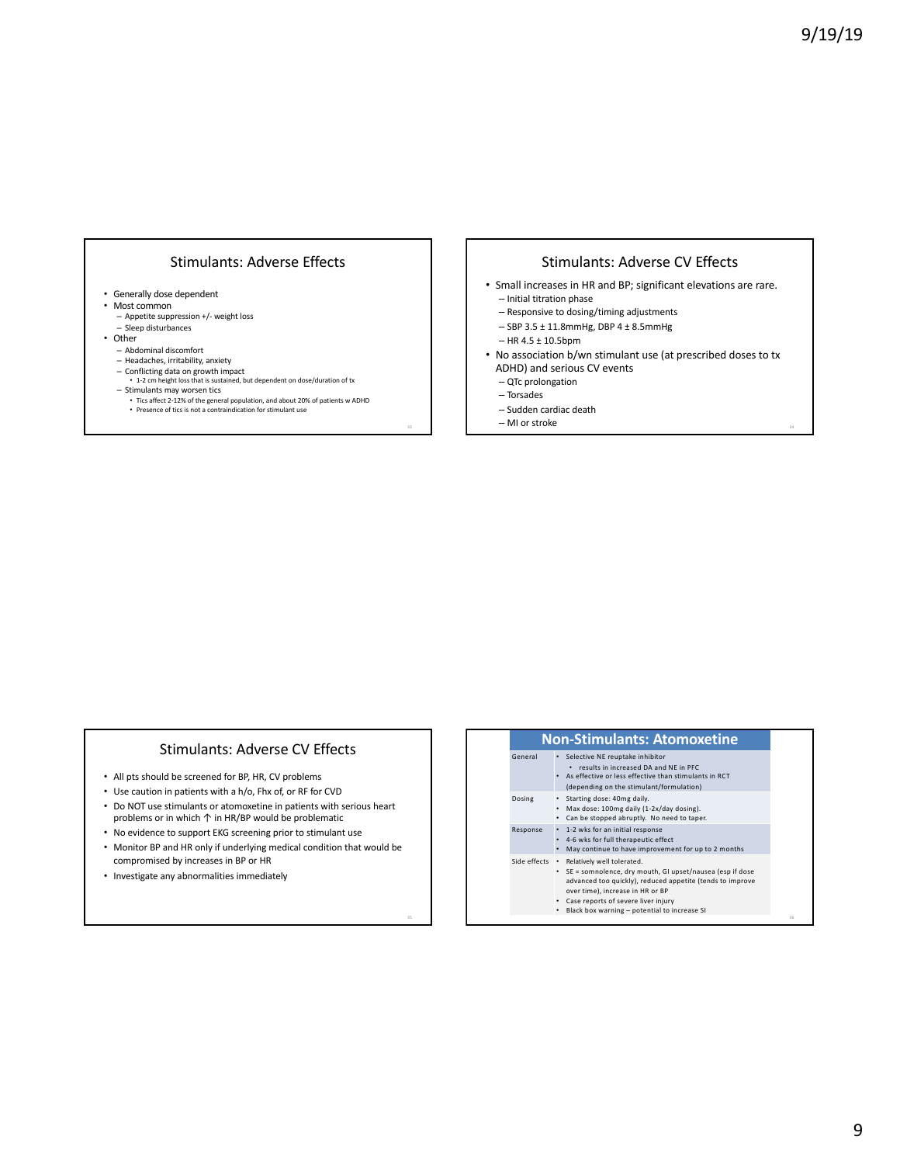# Stimulants: Adverse Effects

- Generally dose dependent
- Most common
	- Appetite suppression +/- weight loss – Sleep disturbances
- Other
	- Abdominal discomfort
	- Headaches, irritability, anxiety
	-
	- Conflicting data on growth impact 1-2 cm height loss that is sustained, but dependent on dose/duration of tx
	-
	- Stimulants may worsen tics Tics affect 2-12% of the general population, and about 20% of patients w ADHD Presence of tics is not a contraindication for stimulant use

### Stimulants: Adverse CV Effects

- Small increases in HR and BP; significant elevations are rare.
- Initial titration phase
- Responsive to dosing/timing adjustments
- SBP 3.5 ± 11.8mmHg, DBP 4 ± 8.5mmHg
- HR 4.5 ± 10.5bpm
- No association b/wn stimulant use (at prescribed doses to tx ADHD) and serious CV events
	- QTc prolongation
	- Torsades
	- Sudden cardiac death
	- $-$  MI or stroke

#### Stimulants: Adverse CV Effects

- All pts should be screened for BP, HR, CV problems
- Use caution in patients with a h/o, Fhx of, or RF for CVD
- Do NOT use stimulants or atomoxetine in patients with serious heart problems or in which ↑ in HR/BP would be problematic
- No evidence to support EKG screening prior to stimulant use
- Monitor BP and HR only if underlying medical condition that would be compromised by increases in BP or HR
- Investigate any abnormalities immediately

| <b>Non-Stimulants: Atomoxetine</b> |                                                                                                                                                                                                                                                                                  |  |  |  |
|------------------------------------|----------------------------------------------------------------------------------------------------------------------------------------------------------------------------------------------------------------------------------------------------------------------------------|--|--|--|
| General                            | Selective NE reuptake inhibitor<br>results in increased DA and NE in PFC<br>. As effective or less effective than stimulants in RCT<br>(depending on the stimulant/formulation)                                                                                                  |  |  |  |
| Dosing                             | Starting dose: 40mg daily.<br>Max dose: 100mg daily (1-2x/day dosing).<br>Can be stopped abruptly. No need to taper.                                                                                                                                                             |  |  |  |
| Response                           | 1-2 wks for an initial response<br>4-6 wks for full therapeutic effect<br>May continue to have improvement for up to 2 months                                                                                                                                                    |  |  |  |
| Side effects .                     | Relatively well tolerated.<br>• SE = somnolence, dry mouth, GI upset/nausea (esp if dose<br>advanced too quickly), reduced appetite (tends to improve<br>over time), increase in HR or BP<br>Case reports of severe liver injury<br>Black box warning - potential to increase SI |  |  |  |
|                                    |                                                                                                                                                                                                                                                                                  |  |  |  |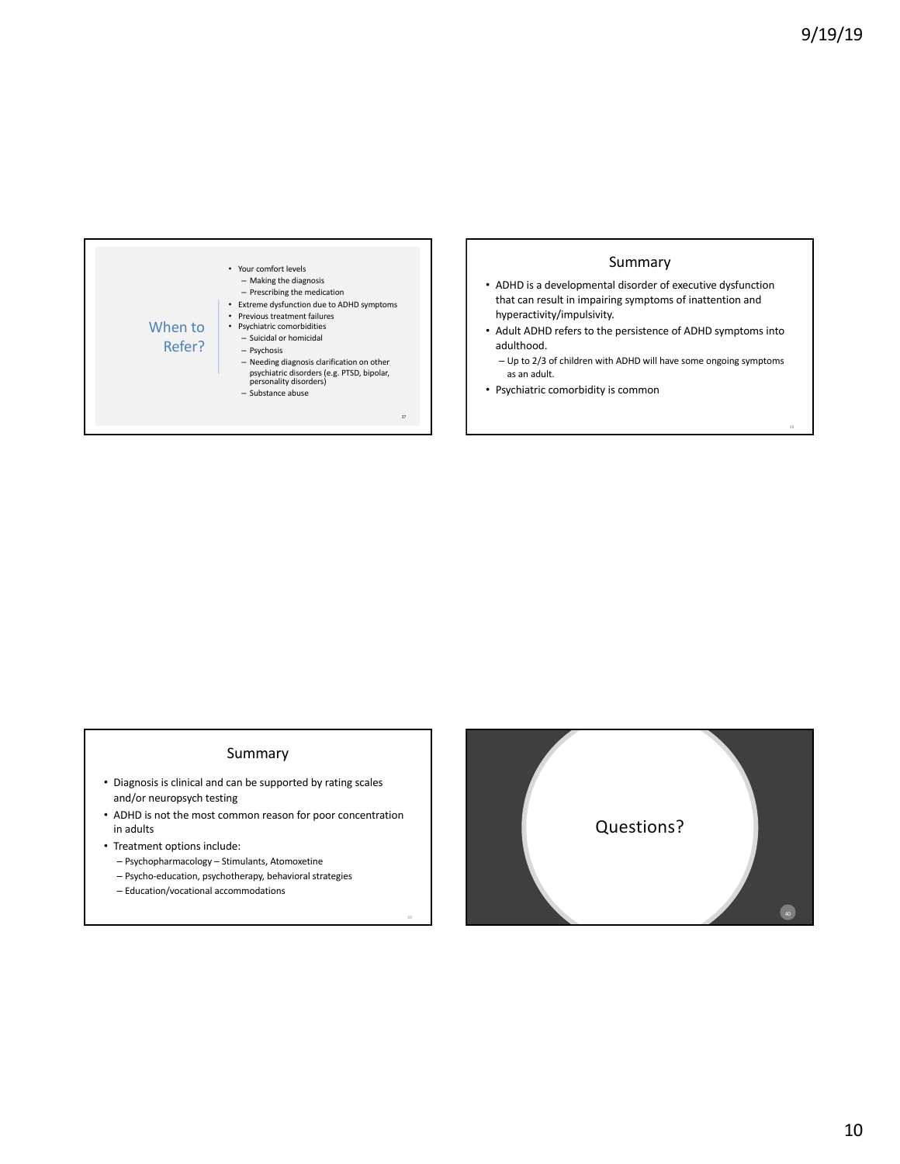

### Summary

- ADHD is a developmental disorder of executive dysfunction that can result in impairing symptoms of inattention and hyperactivity/impulsivity.
- Adult ADHD refers to the persistence of ADHD symptoms into adulthood.
	- Up to 2/3 of children with ADHD will have some ongoing symptoms as an adult.
- Psychiatric comorbidity is common

### Summary

- Diagnosis is clinical and can be supported by rating scales and/or neuropsych testing
- ADHD is not the most common reason for poor concentration in adults
- Treatment options include:
	- Psychopharmacology Stimulants, Atomoxetine
	- Psycho-education, psychotherapy, behavioral strategies
	- Education/vocational accommodations

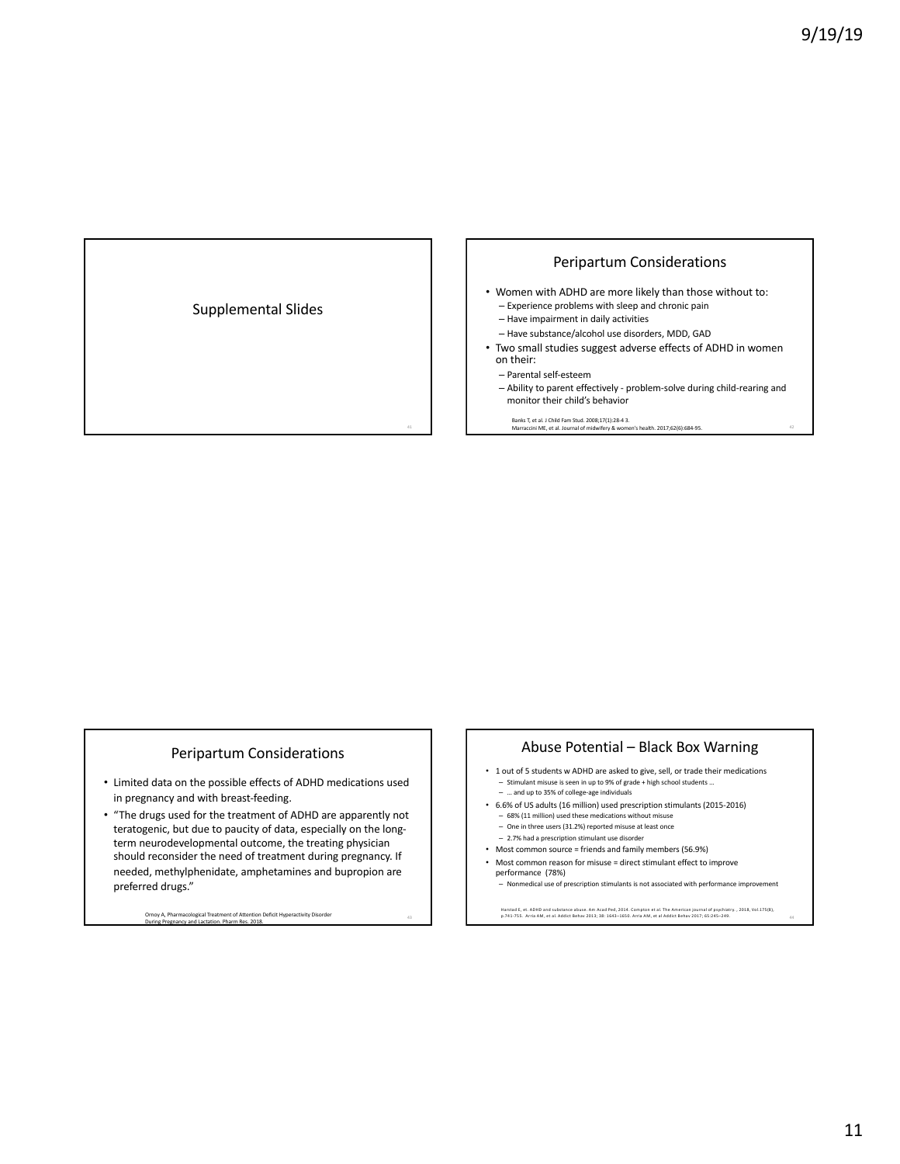# Supplemental Slides

### Peripartum Considerations

- Women with ADHD are more likely than those without to: – Experience problems with sleep and chronic pain
	- Have impairment in daily activities
	- Have substance/alcohol use disorders, MDD, GAD
- Two small studies suggest adverse effects of ADHD in women on their:
	- Parental self-esteem
	- Ability to parent effectively problem-solve during child-rearing and monitor their child's behavior

Banks T, et al. J Child Fam Stud. 2008;17(1):28-4 3. Marraccini ME, et al. Journal of midwifery & women's health. 2017;62(6):684-95.

#### Peripartum Considerations

- Limited data on the possible effects of ADHD medications used in pregnancy and with breast-feeding.
- "The drugs used for the treatment of ADHD are apparently not teratogenic, but due to paucity of data, especially on the longterm neurodevelopmental outcome, the treating physician should reconsider the need of treatment during pregnancy. If needed, methylphenidate, amphetamines and bupropion are preferred drugs."

Ornoy A, Pharmacological Treatment of Attention Deficit Hyperactivity Disorder the common common case of the c<br>During Pregnancy and Lactation. Pharm Res. 2018.

#### Abuse Potential – Black Box Warning

- 1 out of 5 students w ADHD are asked to give, sell, or trade their medications
- Stimulant misuse is seen in up to 9% of grade + high school students … – … and up to 35% of college-age individuals
- 6.6% of US adults (16 million) used prescription stimulants (2015-2016) – 68% (11 million) used these medications without misuse – One in three users (31.2%) reported misuse at least once
- 2.7% had a prescription stimulant use disorder
- Most common source = friends and family members (56.9%)
- Most common reason for misuse = direct stimulant effect to improve performance (78%) Monmedical use of prescription stimulants is not associated with performance improveme

Harstad E, et. ADHD and substance abuse. Am Acad Ped, 2014. Compton et al. The American journal of psychiatry. , 2018, Vol.175(8),<br>p.741-755. Arria AM, et al. Addict Behav 2013; 38: 1643–1650. Arria AM, et al Addict Behav